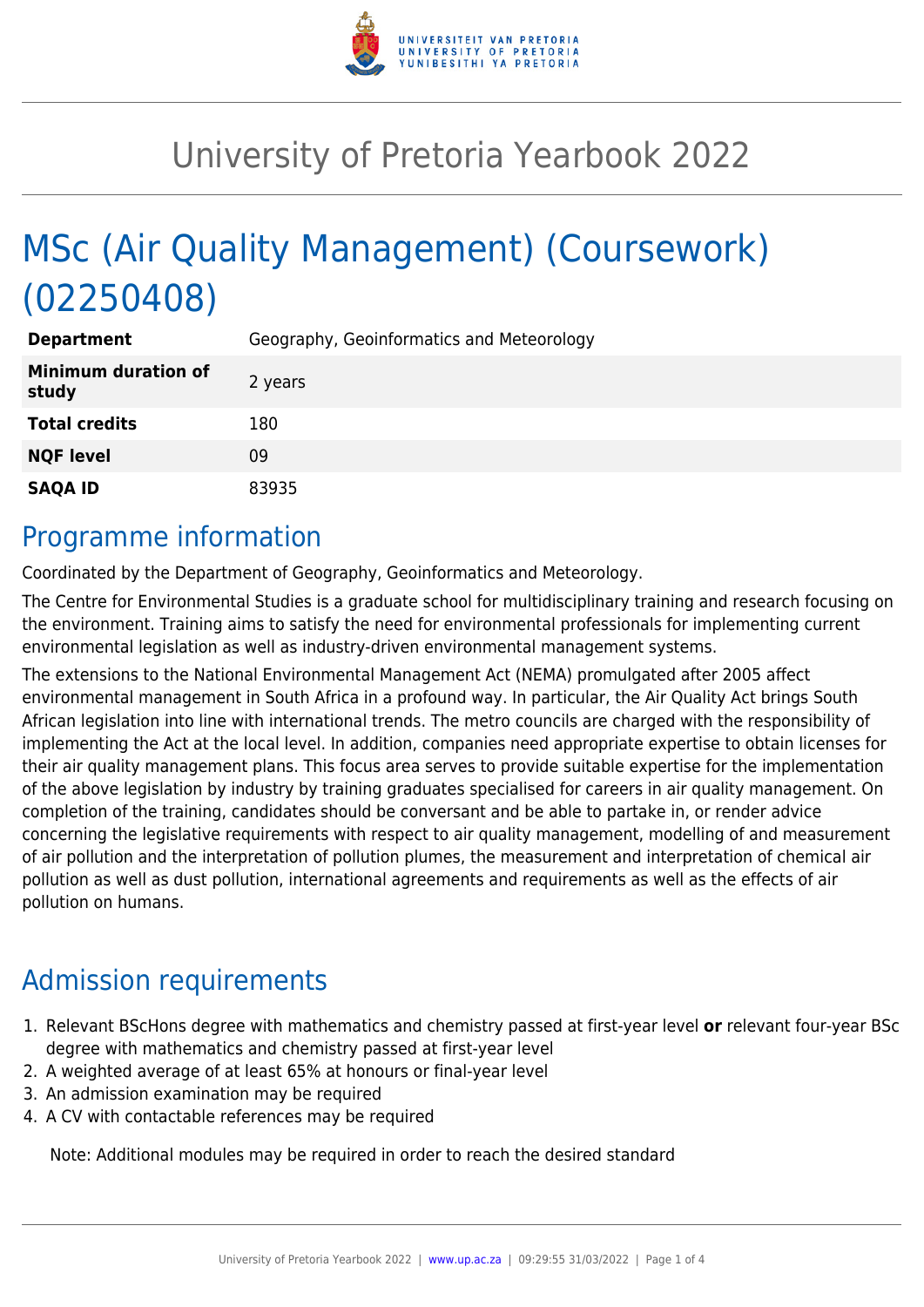

# University of Pretoria Yearbook 2022

# MSc (Air Quality Management) (Coursework) (02250408)

| <b>Department</b>                   | Geography, Geoinformatics and Meteorology |
|-------------------------------------|-------------------------------------------|
| <b>Minimum duration of</b><br>study | 2 years                                   |
| <b>Total credits</b>                | 180                                       |
| <b>NQF level</b>                    | 09                                        |
| <b>SAQA ID</b>                      | 83935                                     |

#### Programme information

Coordinated by the Department of Geography, Geoinformatics and Meteorology.

The Centre for Environmental Studies is a graduate school for multidisciplinary training and research focusing on the environment. Training aims to satisfy the need for environmental professionals for implementing current environmental legislation as well as industry-driven environmental management systems.

The extensions to the National Environmental Management Act (NEMA) promulgated after 2005 affect environmental management in South Africa in a profound way. In particular, the Air Quality Act brings South African legislation into line with international trends. The metro councils are charged with the responsibility of implementing the Act at the local level. In addition, companies need appropriate expertise to obtain licenses for their air quality management plans. This focus area serves to provide suitable expertise for the implementation of the above legislation by industry by training graduates specialised for careers in air quality management. On completion of the training, candidates should be conversant and be able to partake in, or render advice concerning the legislative requirements with respect to air quality management, modelling of and measurement of air pollution and the interpretation of pollution plumes, the measurement and interpretation of chemical air pollution as well as dust pollution, international agreements and requirements as well as the effects of air pollution on humans.

## Admission requirements

- 1. Relevant BScHons degree with mathematics and chemistry passed at first-year level **or** relevant four-year BSc degree with mathematics and chemistry passed at first-year level
- 2. A weighted average of at least 65% at honours or final-year level
- 3. An admission examination may be required
- 4. A CV with contactable references may be required

Note: Additional modules may be required in order to reach the desired standard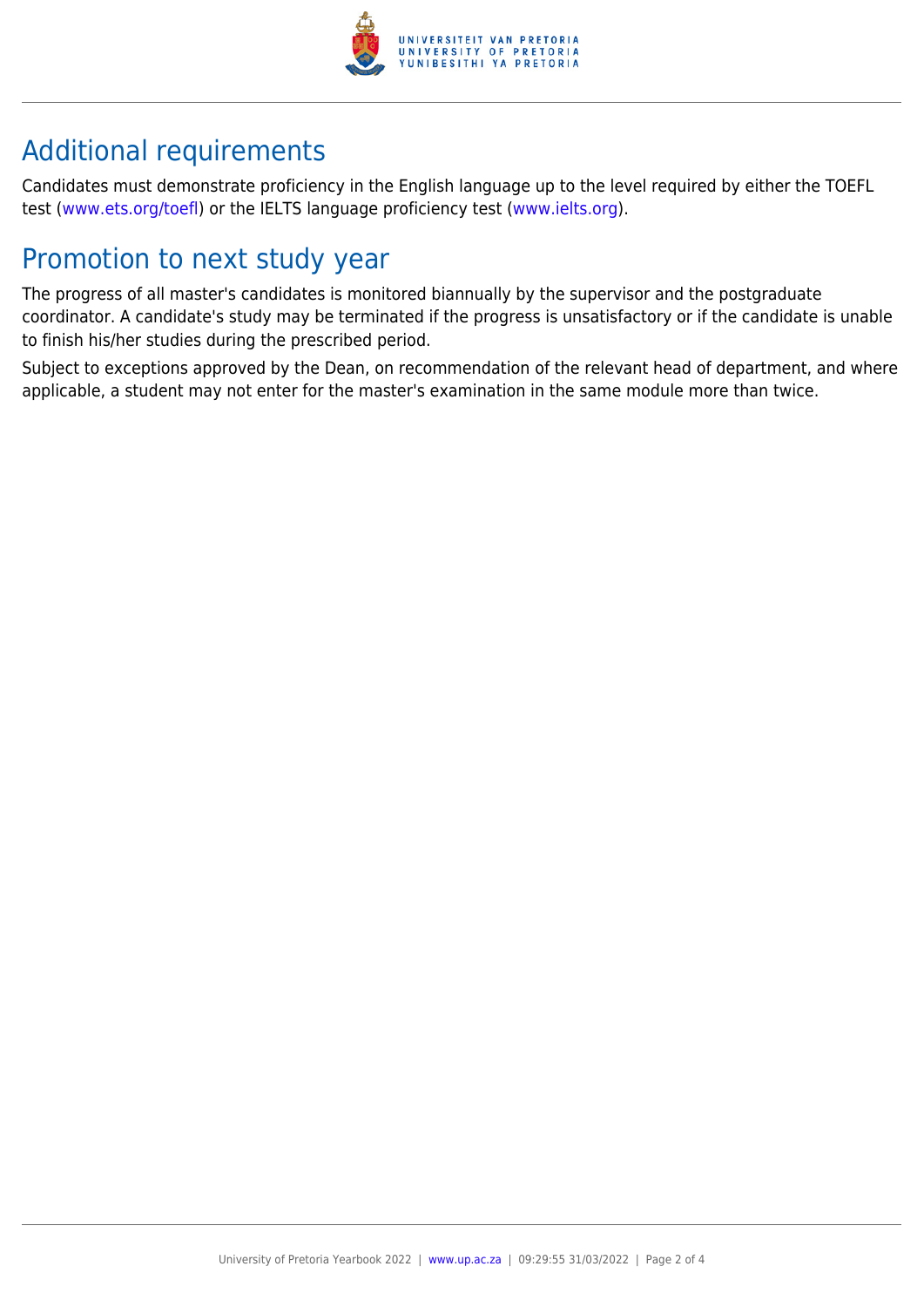

## Additional requirements

Candidates must demonstrate proficiency in the English language up to the level required by either the TOEFL test [\(www.ets.org/toefl\)](http://www.ets.org/toefl) or the IELTS language proficiency test ([www.ielts.org](http://www.ielts.org)).

### Promotion to next study year

The progress of all master's candidates is monitored biannually by the supervisor and the postgraduate coordinator. A candidate's study may be terminated if the progress is unsatisfactory or if the candidate is unable to finish his/her studies during the prescribed period.

Subject to exceptions approved by the Dean, on recommendation of the relevant head of department, and where applicable, a student may not enter for the master's examination in the same module more than twice.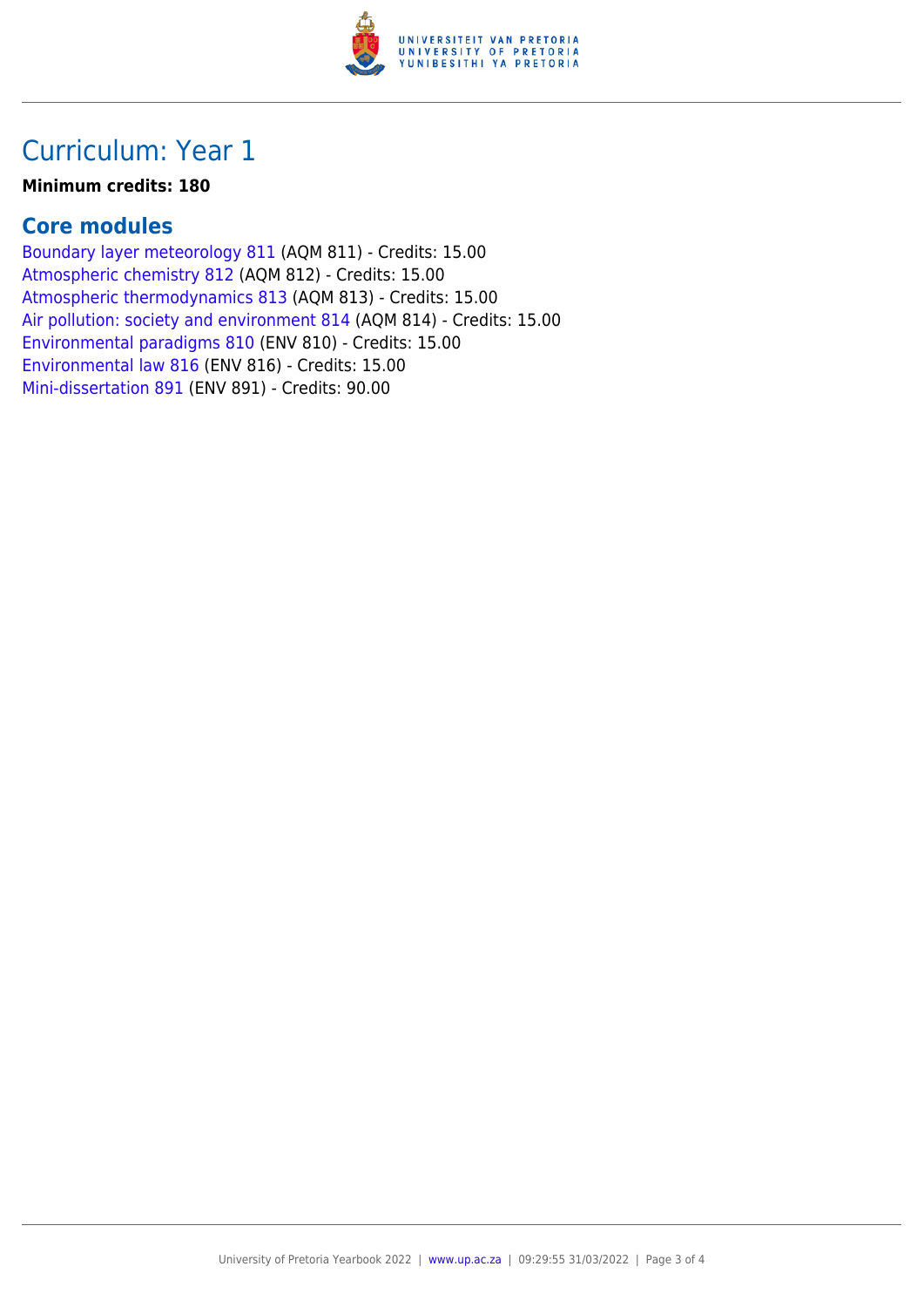

### Curriculum: Year 1

#### **Minimum credits: 180**

#### **Core modules**

[Boundary layer meteorology 811](https://www.up.ac.za/yearbooks/2022/modules/view/AQM 811) (AQM 811) - Credits: 15.00 [Atmospheric chemistry 812](https://www.up.ac.za/yearbooks/2022/modules/view/AQM 812) (AQM 812) - Credits: 15.00 [Atmospheric thermodynamics 813](https://www.up.ac.za/yearbooks/2022/modules/view/AQM 813) (AQM 813) - Credits: 15.00 [Air pollution: society and environment 814](https://www.up.ac.za/yearbooks/2022/modules/view/AQM 814) (AQM 814) - Credits: 15.00 [Environmental paradigms 810](https://www.up.ac.za/yearbooks/2022/modules/view/ENV 810) (ENV 810) - Credits: 15.00 [Environmental law 816](https://www.up.ac.za/yearbooks/2022/modules/view/ENV 816) (ENV 816) - Credits: 15.00 [Mini-dissertation 891](https://www.up.ac.za/yearbooks/2022/modules/view/ENV 891) (ENV 891) - Credits: 90.00